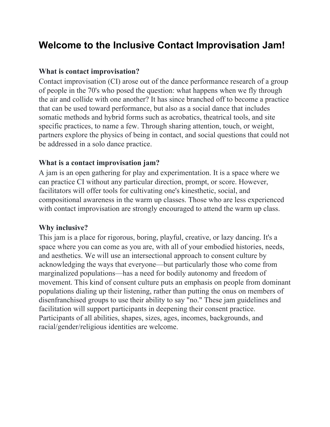# **Welcome to the Inclusive Contact Improvisation Jam!**

## **What is contact improvisation?**

Contact improvisation (CI) arose out of the dance performance research of a group of people in the 70's who posed the question: what happens when we fly through the air and collide with one another? It has since branched off to become a practice that can be used toward performance, but also as a social dance that includes somatic methods and hybrid forms such as acrobatics, theatrical tools, and site specific practices, to name a few. Through sharing attention, touch, or weight, partners explore the physics of being in contact, and social questions that could not be addressed in a solo dance practice.

## **What is a contact improvisation jam?**

A jam is an open gathering for play and experimentation. It is a space where we can practice CI without any particular direction, prompt, or score. However, facilitators will offer tools for cultivating one's kinesthetic, social, and compositional awareness in the warm up classes. Those who are less experienced with contact improvisation are strongly encouraged to attend the warm up class.

## **Why inclusive?**

This jam is a place for rigorous, boring, playful, creative, or lazy dancing. It's a space where you can come as you are, with all of your embodied histories, needs, and aesthetics. We will use an intersectional approach to consent culture by acknowledging the ways that everyone––but particularly those who come from marginalized populations––has a need for bodily autonomy and freedom of movement. This kind of consent culture puts an emphasis on people from dominant populations dialing up their listening, rather than putting the onus on members of disenfranchised groups to use their ability to say "no." These jam guidelines and facilitation will support participants in deepening their consent practice. Participants of all abilities, shapes, sizes, ages, incomes, backgrounds, and racial/gender/religious identities are welcome.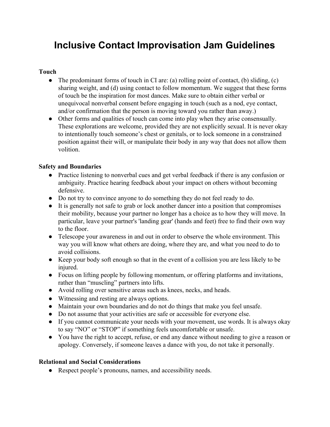# **Inclusive Contact Improvisation Jam Guidelines**

#### **Touch**

- The predominant forms of touch in CI are: (a) rolling point of contact, (b) sliding, (c) sharing weight, and (d) using contact to follow momentum. We suggest that these forms of touch be the inspiration for most dances. Make sure to obtain either verbal or unequivocal nonverbal consent before engaging in touch (such as a nod, eye contact, and/or confirmation that the person is moving toward you rather than away.)
- Other forms and qualities of touch can come into play when they arise consensually. These explorations are welcome, provided they are not explicitly sexual. It is never okay to intentionally touch someone's chest or genitals, or to lock someone in a constrained position against their will, or manipulate their body in any way that does not allow them volition.

#### **Safety and Boundaries**

- Practice listening to nonverbal cues and get verbal feedback if there is any confusion or ambiguity. Practice hearing feedback about your impact on others without becoming defensive.
- Do not try to convince anyone to do something they do not feel ready to do.
- It is generally not safe to grab or lock another dancer into a position that compromises their mobility, because your partner no longer has a choice as to how they will move. In particular, leave your partner's 'landing gear' (hands and feet) free to find their own way to the floor.
- Telescope your awareness in and out in order to observe the whole environment. This way you will know what others are doing, where they are, and what you need to do to avoid collisions.
- Keep your body soft enough so that in the event of a collision you are less likely to be injured.
- Focus on lifting people by following momentum, or offering platforms and invitations, rather than "muscling" partners into lifts.
- Avoid rolling over sensitive areas such as knees, necks, and heads.
- Witnessing and resting are always options.
- Maintain your own boundaries and do not do things that make you feel unsafe.
- Do not assume that your activities are safe or accessible for everyone else.
- If you cannot communicate your needs with your movement, use words. It is always okay to say "NO" or "STOP" if something feels uncomfortable or unsafe.
- You have the right to accept, refuse, or end any dance without needing to give a reason or apology. Conversely, if someone leaves a dance with you, do not take it personally.

#### **Relational and Social Considerations**

● Respect people's pronouns, names, and accessibility needs.